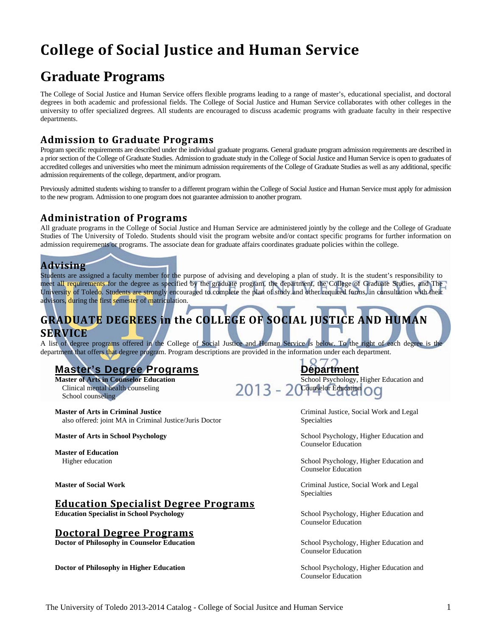# **College of Social Justice and Human Service**

# **Graduate Programs**

The College of Social Justice and Human Service offers flexible programs leading to a range of master's, educational specialist, and doctoral degrees in both academic and professional fields. The College of Social Justice and Human Service collaborates with other colleges in the university to offer specialized degrees. All students are encouraged to discuss academic programs with graduate faculty in their respective departments.

# **Admission to Graduate Programs**

Program specific requirements are described under the individual graduate programs. General graduate program admission requirements are described in a prior section of the College of Graduate Studies. Admission to graduate study in the College of Social Justice and Human Service is open to graduates of accredited colleges and universities who meet the minimum admission requirements of the College of Graduate Studies as well as any additional, specific admission requirements of the college, department, and/or program.

Previously admitted students wishing to transfer to a different program within the College of Social Justice and Human Service must apply for admission to the new program. Admission to one program does not guarantee admission to another program.

# **Administration of Programs**

All graduate programs in the College of Social Justice and Human Service are administered jointly by the college and the College of Graduate Studies of The University of Toledo. Students should visit the program website and/or contact specific programs for further information on admission requirements or programs. The associate dean for graduate affairs coordinates graduate policies within the college.

# **Advising**

Students are assigned a faculty member for the purpose of advising and developing a plan of study. It is the student's responsibility to meet all requirements for the degree as specified by the graduate program, the department, the College of Graduate Studies, and The University of Toledo. Students are strongly encouraged to complete the plan of study and other required forms, in consultation with their advisors, during the first semester of matriculation.

# **GRADUATE DEGREES in the COLLEGE OF SOCIAL JUSTICE AND HUMAN SERVICE**

A list of degree programs offered in the College of Social Justice and Human Service is below. To the right of each degree is the department that offers that degree program. Program descriptions are provided in the information under each department.

# **Master's Degree Programs**<br> **Master of Arts in Counselor Education**<br> **Bepartment**<br> **Repartment**<br> **School Psychology**,

School counseling

**Master of Arts in Criminal Justice** Criminal Justice, Social Work and Legal also offered: joint MA in Criminal Justice/Juris Doctor Specialties

 **Master of Education** 

### **Education Specialist Degree Programs**

**Education Specialist in School Psychology <b>School Psychology** School Psychology, Higher Education and

### **Doctoral Degree Programs**

**Doctor of Philosophy in Counselor Education <b>School Psychology**, Higher Education and

**Doctor of Philosophy in Higher Education** School Psychology, Higher Education and

**Master of Arts in Counselor Education School Psychology, Higher Education and Clinical mental health counseling <b>2013** - 2 Counselor Education **Counselor** 2013 - 20 Counselor Education CO

 $O<sub>7</sub>$ 

**Master of Arts in School Psychology and School Psychology, Higher Education and School Psychology, Higher Education and School Psychology, Higher Education and School Psychology, Higher Education and School Psychology, Hi** Counselor Education

Higher education School Psychology, Higher Education and Counselor Education

 **Master of Social Work** Criminal Justice, Social Work and Legal Specialties

Counselor Education

Counselor Education

Counselor Education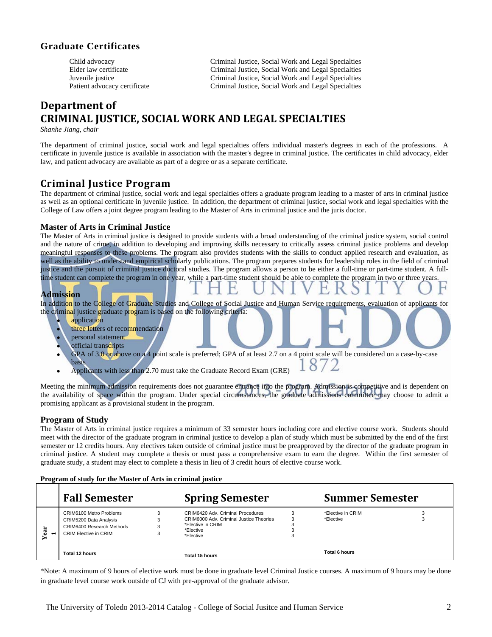## **Graduate Certificates**

 Child advocacy Criminal Justice, Social Work and Legal Specialties Elder law certificate Criminal Justice, Social Work and Legal Specialties Juvenile justice Criminal Justice, Social Work and Legal Specialties Patient advocacy certificate Criminal Justice, Social Work and Legal Specialties

# **Department of CRIMINAL JUSTICE, SOCIAL WORK AND LEGAL SPECIALTIES**

*Shanhe Jiang, chair* 

The department of criminal justice, social work and legal specialties offers individual master's degrees in each of the professions. A certificate in juvenile justice is available in association with the master's degree in criminal justice. The certificates in child advocacy, elder law, and patient advocacy are available as part of a degree or as a separate certificate.

# **Criminal Justice Program**

The department of criminal justice, social work and legal specialties offers a graduate program leading to a master of arts in criminal justice as well as an optional certificate in juvenile justice. In addition, the department of criminal justice, social work and legal specialties with the College of Law offers a joint degree program leading to the Master of Arts in criminal justice and the juris doctor.

### **Master of Arts in Criminal Justice**

The Master of Arts in criminal justice is designed to provide students with a broad understanding of the criminal justice system, social control and the nature of crime, in addition to developing and improving skills necessary to critically assess criminal justice problems and develop meaningful responses to these problems. The program also provides students with the skills to conduct applied research and evaluation, as well as the ability to understand empirical scholarly publications. The program prepares students for leadership roles in the field of criminal justice and the pursuit of criminal justice doctoral studies. The program allows a person to be either a full-time or part-time student. A fulltime student can complete the program in one year, while a part-time student should be able to complete the program in two or three years.

### **Admission**

In addition to the College of Graduate Studies and College of Social Justice and Human Service requirements, evaluation of applicants for the criminal justice graduate program is based on the following criteria:

- application
- three letters of recommendation
- personal statement
- official transcripts
- GPA of 3.0 or above on a 4 point scale is preferred; GPA of at least 2.7 on a 4 point scale will be considered on a case-by-case 872 basis
- Applicants with less than 2.70 must take the Graduate Record Exam (GRE)

Meeting the minimum admission requirements does not guarantee entrance into the program. Admission is competitive and is dependent on the availability of space within the program. Under special circumstances, the graduate admissions committee may choose to admit a promising applicant as a provisional student in the program.

### **Program of Study**

The Master of Arts in criminal justice requires a minimum of 33 semester hours including core and elective course work. Students should meet with the director of the graduate program in criminal justice to develop a plan of study which must be submitted by the end of the first semester or 12 credits hours. Any electives taken outside of criminal justice must be preapproved by the director of the graduate program in criminal justice. A student may complete a thesis or must pass a comprehensive exam to earn the degree. Within the first semester of graduate study, a student may elect to complete a thesis in lieu of 3 credit hours of elective course work.

| Program of study for the Master of Arts in criminal justice |  |  |  |
|-------------------------------------------------------------|--|--|--|
|                                                             |  |  |  |

|    | <b>Fall Semester</b>                                                                                    | <b>Spring Semester</b>                                                                                                           | <b>Summer Semester</b>         |
|----|---------------------------------------------------------------------------------------------------------|----------------------------------------------------------------------------------------------------------------------------------|--------------------------------|
| ته | CRIM6100 Metro Problems<br>CRIM5200 Data Analysis<br>CRIM6400 Research Methods<br>CRIM Elective in CRIM | CRIM6420 Adv. Criminal Procedures<br>CRIM6000 Adv. Criminal Justice Theories<br>3<br>*Elective in CRIM<br>*Elective<br>*Elective | *Elective in CRIM<br>*Elective |
|    | Total 12 hours                                                                                          | <b>Total 15 hours</b>                                                                                                            | Total 6 hours                  |

\*Note: A maximum of 9 hours of elective work must be done in graduate level Criminal Justice courses. A maximum of 9 hours may be done in graduate level course work outside of CJ with pre-approval of the graduate advisor.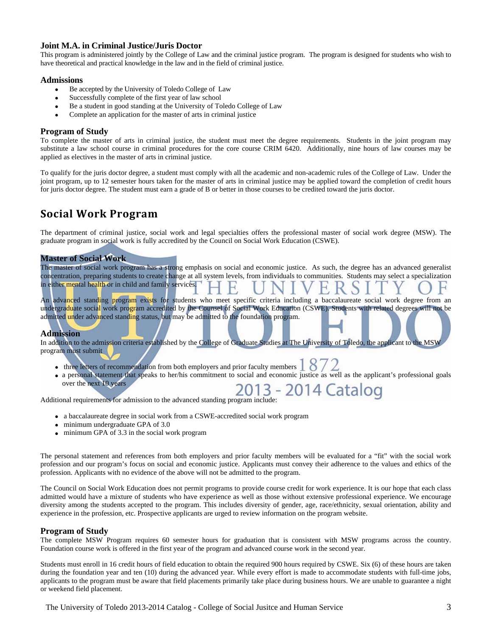### **Joint M.A. in Criminal Justice/Juris Doctor**

This program is administered jointly by the College of Law and the criminal justice program. The program is designed for students who wish to have theoretical and practical knowledge in the law and in the field of criminal justice.

### **Admissions**

- Be accepted by the University of Toledo College of Law
- Successfully complete of the first year of law school
- Be a student in good standing at the University of Toledo College of Law
- Complete an application for the master of arts in criminal justice

### **Program of Study**

To complete the master of arts in criminal justice, the student must meet the degree requirements. Students in the joint program may substitute a law school course in criminal procedures for the core course CRIM 6420. Additionally, nine hours of law courses may be applied as electives in the master of arts in criminal justice.

To qualify for the juris doctor degree, a student must comply with all the academic and non-academic rules of the College of Law. Under the joint program, up to 12 semester hours taken for the master of arts in criminal justice may be applied toward the completion of credit hours for juris doctor degree. The student must earn a grade of B or better in those courses to be credited toward the juris doctor.

# **Social Work Program**

The department of criminal justice, social work and legal specialties offers the professional master of social work degree (MSW). The graduate program in social work is fully accredited by the Council on Social Work Education (CSWE).

### **Master of Social Work**

The master of social work program has a strong emphasis on social and economic justice. As such, the degree has an advanced generalist concentration, preparing students to create change at all system levels, from individuals to communities. Students may select a specialization in either mental health or in child and family services.

An advanced standing program exists for students who meet specific criteria including a baccalaureate social work degree from an undergraduate social work program accredited by the Counsel of Social Work Education (CSWE). Students with related degrees will not be admitted under advanced standing status, but may be admitted to the foundation program.

### **Admission**

In addition to the admission criteria established by the College of Graduate Studies at The University of Toledo, the applicant to the MSW program must submit

- three letters of recommendation from both employers and prior faculty members
- a personal statement that speaks to her/his commitment to social and economic justice as well as the applicant's professional goals over the next 10 years

bover the next TO years<br>Additional requirements for admission to the advanced standing program include: 2013

- a baccalaureate degree in social work from a CSWE-accredited social work program
- minimum undergraduate GPA of 3.0
- minimum GPA of 3.3 in the social work program

The personal statement and references from both employers and prior faculty members will be evaluated for a "fit" with the social work profession and our program's focus on social and economic justice. Applicants must convey their adherence to the values and ethics of the profession. Applicants with no evidence of the above will not be admitted to the program.

The Council on Social Work Education does not permit programs to provide course credit for work experience. It is our hope that each class admitted would have a mixture of students who have experience as well as those without extensive professional experience. We encourage diversity among the students accepted to the program. This includes diversity of gender, age, race/ethnicity, sexual orientation, ability and experience in the profession, etc. Prospective applicants are urged to review information on the program website.

### **Program of Study**

The complete MSW Program requires 60 semester hours for graduation that is consistent with MSW programs across the country. Foundation course work is offered in the first year of the program and advanced course work in the second year.

Students must enroll in 16 credit hours of field education to obtain the required 900 hours required by CSWE. Six (6) of these hours are taken during the foundation year and ten (10) during the advanced year. While every effort is made to accommodate students with full-time jobs, applicants to the program must be aware that field placements primarily take place during business hours. We are unable to guarantee a night or weekend field placement.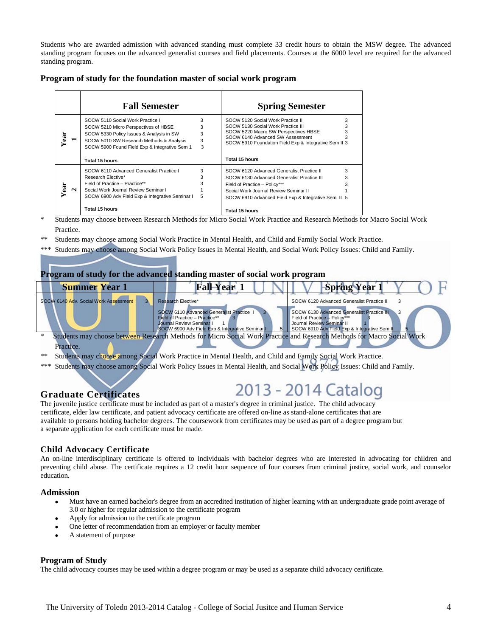Students who are awarded admission with advanced standing must complete 33 credit hours to obtain the MSW degree. The advanced standing program focuses on the advanced generalist courses and field placements. Courses at the 6000 level are required for the advanced standing program.

|  |  |  | Program of study for the foundation master of social work program |
|--|--|--|-------------------------------------------------------------------|
|  |  |  |                                                                   |

|                       | <b>Fall Semester</b>                                                                                                                                                                                              |                       | <b>Spring Semester</b>                                                                                                                                                                                       |        |
|-----------------------|-------------------------------------------------------------------------------------------------------------------------------------------------------------------------------------------------------------------|-----------------------|--------------------------------------------------------------------------------------------------------------------------------------------------------------------------------------------------------------|--------|
| ear<br>$\blacksquare$ | SOCW 5110 Social Work Practice I<br>SOCW 5210 Micro Perspectives of HBSE<br>SOCW 5330 Policy Issues & Analysis in SW<br>SOCW 5010 SW Research Methods & Analysis<br>SOCW 5900 Found Field Exp & Integrative Sem 1 | 3<br>3<br>3<br>3<br>3 | SOCW 5120 Social Work Practice II<br>SOCW 5130 Social Work Practice III<br>SOCW 5220 Macro SW Perspectives HBSE<br>SOCW 6140 Advanced SW Assessment<br>SOCW 5910 Foundation Field Exp & Integrative Sem II 3 | 3<br>3 |
|                       | Total 15 hours                                                                                                                                                                                                    |                       | Total 15 hours                                                                                                                                                                                               |        |
|                       | SOCW 6110 Advanced Generalist Practice I                                                                                                                                                                          | 3                     | SOCW 6120 Advanced Generalist Practice II                                                                                                                                                                    | 3      |
|                       | Research Elective*                                                                                                                                                                                                | 3                     | SOCW 6130 Advanced Generalist Practice III                                                                                                                                                                   |        |
| ä                     | Field of Practice - Practice**                                                                                                                                                                                    | 3                     | Field of Practice - Policy***                                                                                                                                                                                |        |
| ы                     | Social Work Journal Review Seminar I                                                                                                                                                                              |                       | Social Work Journal Review Seminar II                                                                                                                                                                        |        |
|                       | SOCW 6900 Adv Field Exp & Integrative Seminar I                                                                                                                                                                   | 5                     | SOCW 6910 Advanced Field Exp & Integrative Sem. II 5                                                                                                                                                         |        |
|                       | Total 15 hours                                                                                                                                                                                                    |                       | Total 15 hours                                                                                                                                                                                               |        |

\* Students may choose between Research Methods for Micro Social Work Practice and Research Methods for Macro Social Work Practice.

- \*\* Students may choose among Social Work Practice in Mental Health, and Child and Family Social Work Practice.
- \*\*\* Students may choose among Social Work Policy Issues in Mental Health, and Social Work Policy Issues: Child and Family.

### **Program of study for the advanced standing master of social work program**

| <b>Summer Year 1</b>                  | <b>Fall-Year</b>                                                                                                                                          | <b>Spring Year</b>                                                                                                                                       |
|---------------------------------------|-----------------------------------------------------------------------------------------------------------------------------------------------------------|----------------------------------------------------------------------------------------------------------------------------------------------------------|
| SOCW 6140 Adv. Social Work Assessment | Research Elective*                                                                                                                                        | SOCW 6120 Advanced Generalist Practice II                                                                                                                |
|                                       | SOCW 6110 Advanced Generalist Practice 1<br>Field of Practice - Practice**<br>Journal Review Seminar I<br>SOCW 6900 Adv Field Exp & Integrative Seminar I | SOCW 6130 Advanced Generalist Practice III<br>Field of Practice - Policy***<br>Journal Review Seminar II<br>SOCW 6910 Adv Field Exp & Integrative Sem II |
| Practice.                             |                                                                                                                                                           | Students may choose between Research Methods for Micro Social Work Practice and Research Methods for Macro Social Work                                   |

- Students may choose among Social Work Practice in Mental Health, and Child and Family Social Work Practice.
- \*\*\* Students may choose among Social Work Policy Issues in Mental Health, and Social Work Policy Issues: Child and Family.

### **Graduate Certificates**

# 2013 - 2014 Catalog

The juvenile justice certificate must be included as part of a master's degree in criminal justice. The child advocacy certificate, elder law certificate, and patient advocacy certificate are offered on-line as stand-alone certificates that are available to persons holding bachelor degrees. The coursework from certificates may be used as part of a degree program but a separate application for each certificate must be made.

### **Child Advocacy Certificate**

An on-line interdisciplinary certificate is offered to individuals with bachelor degrees who are interested in advocating for children and preventing child abuse. The certificate requires a 12 credit hour sequence of four courses from criminal justice, social work, and counselor education.

### **Admission**

- Must have an earned bachelor's degree from an accredited institution of higher learning with an undergraduate grade point average of 3.0 or higher for regular admission to the certificate program
- Apply for admission to the certificate program
- One letter of recommendation from an employer or faculty member
- A statement of purpose

### **Program of Study**

The child advocacy courses may be used within a degree program or may be used as a separate child advocacy certificate.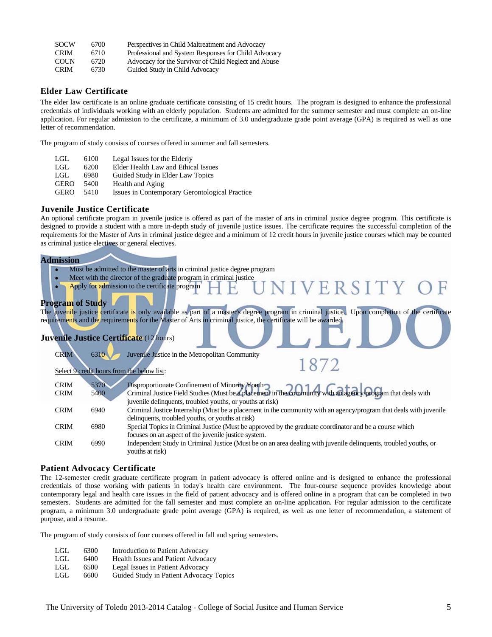| <b>SOCW</b> | 6700 | Perspectives in Child Maltreatment and Advocacy      |
|-------------|------|------------------------------------------------------|
| <b>CRIM</b> | 6710 | Professional and System Responses for Child Advocacy |
| <b>COUN</b> | 6720 | Advocacy for the Survivor of Child Neglect and Abuse |
| <b>CRIM</b> | 6730 | Guided Study in Child Advocacy                       |

### **Elder Law Certificate**

The elder law certificate is an online graduate certificate consisting of 15 credit hours. The program is designed to enhance the professional credentials of individuals working with an elderly population. Students are admitted for the summer semester and must complete an on-line application. For regular admission to the certificate, a minimum of 3.0 undergraduate grade point average (GPA) is required as well as one letter of recommendation.

The program of study consists of courses offered in summer and fall semesters.

| LGL.        | 6100 | Legal Issues for the Elderly                   |
|-------------|------|------------------------------------------------|
| LGL.        | 6200 | Elder Health Law and Ethical Issues            |
| LGL.        | 6980 | Guided Study in Elder Law Topics               |
| <b>GERO</b> | 5400 | Health and Aging                               |
| <b>GERO</b> | 5410 | Issues in Contemporary Gerontological Practice |

### **Juvenile Justice Certificate**

An optional certificate program in juvenile justice is offered as part of the master of arts in criminal justice degree program. This certificate is designed to provide a student with a more in-depth study of juvenile justice issues. The certificate requires the successful completion of the requirements for the Master of Arts in criminal justice degree and a minimum of 12 credit hours in juvenile justice courses which may be counted as criminal justice electives or general electives.

#### **Admission**

- Must be admitted to the master of arts in criminal justice degree program
- Meet with the director of the graduate program in criminal justice
- Apply for admission to the certificate program

### **Program of Study**

The juvenile justice certificate is only available as part of a master's degree program in criminal justice. Upon completion of the certificate requirements and the requirements for the Master of Arts in criminal justice, the certificate will be awarded.

IVERSITY

### **Juvenile Justice Certificate** (12 hours)

| <b>CRIM</b> | 6310 | Juvenile Justice in the Metropolitan Community                                                                                                                |
|-------------|------|---------------------------------------------------------------------------------------------------------------------------------------------------------------|
|             |      | 1872                                                                                                                                                          |
|             |      | Select 9 credit hours from the below list:                                                                                                                    |
|             |      |                                                                                                                                                               |
| <b>CRIM</b> | 5370 |                                                                                                                                                               |
| <b>CRIM</b> | 5400 | Disproportionate Confinement of Minority Youth<br>Criminal Justice Field Studies (Must be a placement in the community with an agency/program that deals with |
|             |      | juvenile delinquents, troubled youths, or youths at risk)                                                                                                     |
| <b>CRIM</b> | 6940 | Criminal Justice Internship (Must be a placement in the community with an agency/program that deals with juvenile                                             |
|             |      | delinquents, troubled youths, or youths at risk)                                                                                                              |
| <b>CRIM</b> | 6980 | Special Topics in Criminal Justice (Must be approved by the graduate coordinator and be a course which                                                        |
|             |      | focuses on an aspect of the juvenile justice system.                                                                                                          |
| <b>CRIM</b> | 6990 | Independent Study in Criminal Justice (Must be on an area dealing with juvenile delinquents, troubled youths, or                                              |
|             |      | youths at risk)                                                                                                                                               |
|             |      |                                                                                                                                                               |

### **Patient Advocacy Certificate**

The 12-semester credit graduate certificate program in patient advocacy is offered online and is designed to enhance the professional credentials of those working with patients in today's health care environment. The four-course sequence provides knowledge about contemporary legal and health care issues in the field of patient advocacy and is offered online in a program that can be completed in two semesters. Students are admitted for the fall semester and must complete an on-line application. For regular admission to the certificate program, a minimum 3.0 undergraduate grade point average (GPA) is required, as well as one letter of recommendation, a statement of purpose, and a resume.

The program of study consists of four courses offered in fall and spring semesters.

- LGL 6300 Introduction to Patient Advocacy
- LGL 6400 Health Issues and Patient Advocacy
- LGL 6500 Legal Issues in Patient Advocacy
- LGL 6600 Guided Study in Patient Advocacy Topics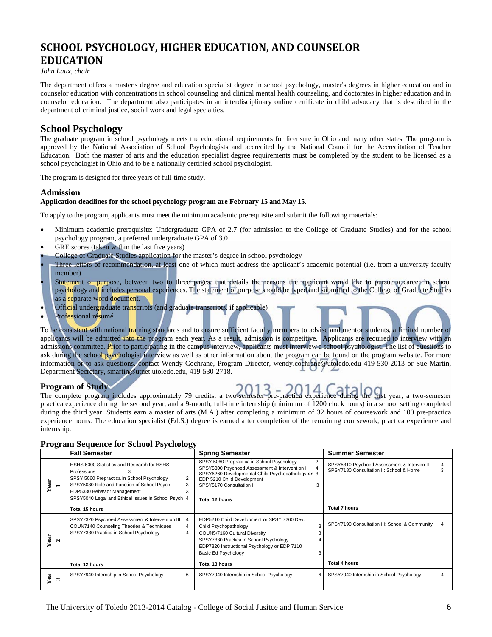# **SCHOOL PSYCHOLOGY, HIGHER EDUCATION, AND COUNSELOR EDUCATION**

*John Laux, chair* 

The department offers a master's degree and education specialist degree in school psychology, master's degrees in higher education and in counselor education with concentrations in school counseling and clinical mental health counseling, and doctorates in higher education and in counselor education. The department also participates in an interdisciplinary online certificate in child advocacy that is described in the department of criminal justice, social work and legal specialties.

### **School Psychology**

The graduate program in school psychology meets the educational requirements for licensure in Ohio and many other states. The program is approved by the National Association of School Psychologists and accredited by the National Council for the Accreditation of Teacher Education. Both the master of arts and the education specialist degree requirements must be completed by the student to be licensed as a school psychologist in Ohio and to be a nationally certified school psychologist.

The program is designed for three years of full-time study.

### **Admission**

### **Application deadlines for the school psychology program are February 15 and May 15.**

To apply to the program, applicants must meet the minimum academic prerequisite and submit the following materials:

- Minimum academic prerequisite: Undergraduate GPA of 2.7 (for admission to the College of Graduate Studies) and for the school psychology program, a preferred undergraduate GPA of 3.0
- GRE scores (taken within the last five years)
- College of Graduate Studies application for the master's degree in school psychology
- Three letters of recommendation, at least one of which must address the applicant's academic potential (i.e. from a university faculty member)
- Statement of purpose, between two to three pages, that details the reasons the applicant would like to pursue a career in school psychology and includes personal experiences. The statement of purpose should be typed and submitted to the College of Graduate Studies as a separate word document.
- Official undergraduate transcripts (and graduate transcripts, if applicable)
- Professional résumé

To be consistent with national training standards and to ensure sufficient faculty members to advise and mentor students, a limited number of applicants will be admitted into the program each year. As a result, admission is competitive. Applicants are required to interview with an admissions committee. Prior to participating in the campus interview, applicants must interview a school psychologist. The list of questions to ask during the school psychologist interview as well as other information about the program can be found on the program website. For more information or to ask questions, contact Wendy Cochrane, Program Director, wendy.cochrane@utoledo.edu 419-530-2013 or Sue Martin, Department Secretary, smartin@utnet.utoledo.edu, 419-530-2718.

### **Program of Study**



The complete program includes approximately 79 credits, a two-semester pre-practica experience during the first year, a two-semester practica experience during the second year, and a 9-month, full-time internship (minimum of 1200 clock hours) in a school setting completed during the third year. Students earn a master of arts (M.A.) after completing a minimum of 32 hours of coursework and 100 pre-practica experience hours. The education specialist (Ed.S.) degree is earned after completion of the remaining coursework, practica experience and internship.

| <b>Program Sequence for School Psychology</b> |  |  |
|-----------------------------------------------|--|--|
|                                               |  |  |

|                                  | <b>Fall Semester</b>                                                                                                                                                                                                                                       | <b>Spring Semester</b>                                                                                                                                                                                                                     | <b>Summer Semester</b>                                                                          |
|----------------------------------|------------------------------------------------------------------------------------------------------------------------------------------------------------------------------------------------------------------------------------------------------------|--------------------------------------------------------------------------------------------------------------------------------------------------------------------------------------------------------------------------------------------|-------------------------------------------------------------------------------------------------|
| Year<br>$\overline{\phantom{0}}$ | HSHS 6000 Statistics and Research for HSHS<br>Professions<br>SPSY 5060 Prepractica in School Psychology<br>2<br>SPSY5030 Role and Function of School Psych<br>3<br>EDP5330 Behavior Management<br>3<br>SPSY5040 Legal and Ethical Issues in School Psych 4 | SPSY 5060 Prepractica in School Psychology<br>2<br>SPSY5300 Psychoed Assessment & Intervention I<br>4<br>SPSY6260 Developmental Child Psychopathology or 3<br>EDP 5210 Child Development<br>SPSY5170 Consultation I<br>3<br>Total 12 hours | SPSY5310 Psychoed Assessment & Interven II<br>4<br>SPSY7180 Consultation II: School & Home<br>з |
|                                  | Total 15 hours                                                                                                                                                                                                                                             |                                                                                                                                                                                                                                            | <b>Total 7 hours</b>                                                                            |
| Year<br>$\sim$                   | SPSY7320 Psychoed Assessment & Intervention III<br>4<br>COUN7140 Counseling Theories & Techniques<br>4<br>SPSY7330 Practica in School Psychology<br>4                                                                                                      | EDP5210 Child Development or SPSY 7260 Dev.<br>3<br>Child Psychopathology<br>COUN5/7160 Cultural Diversity<br>SPSY7330 Practica in School Psychology<br>EDP7320 Instructional Psychology or EDP 7110<br>Basic Ed Psychology                | SPSY7190 Consultation III: School & Community<br>4                                              |
|                                  | Total 12 hours                                                                                                                                                                                                                                             | Total 13 hours                                                                                                                                                                                                                             | <b>Total 4 hours</b>                                                                            |
| Yea<br>$\mathbf{c}$              | SPSY7940 Internship in School Psychology<br>6                                                                                                                                                                                                              | SPSY7940 Internship in School Psychology<br>6                                                                                                                                                                                              | SPSY7940 Internship in School Psychology                                                        |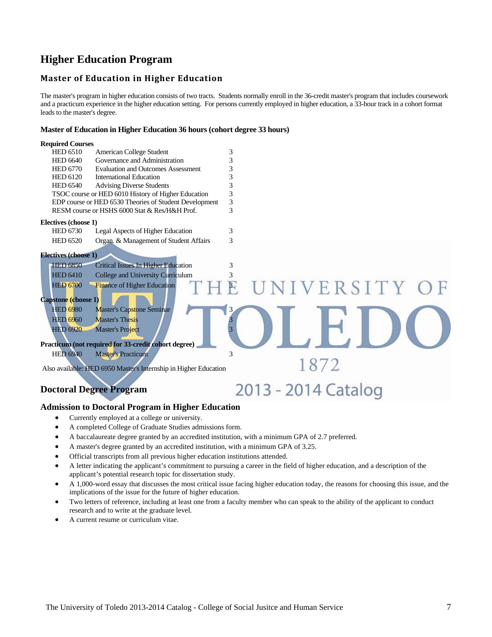# **Higher Education Program**

### **Master of Education in Higher Education**

The master's program in higher education consists of two tracts. Students normally enroll in the 36-credit master's program that includes coursework and a practicum experience in the higher education setting. For persons currently employed in higher education, a 33-hour track in a cohort format leads to the master's degree.

### **Master of Education in Higher Education 36 hours (cohort degree 33 hours)**

| <b>Required Courses</b>     |                                                                  |                                |
|-----------------------------|------------------------------------------------------------------|--------------------------------|
| <b>HED 6510</b>             | American College Student                                         | 3                              |
| <b>HED 6640</b>             | Governance and Administration                                    | 3                              |
| <b>HED 6770</b>             | <b>Evaluation and Outcomes Assessment</b>                        | 3                              |
| <b>HED 6120</b>             | <b>International Education</b>                                   | 3                              |
| <b>HED 6540</b>             | <b>Advising Diverse Students</b>                                 | 3                              |
|                             | TSOC course or HED 6010 History of Higher Education              | 3                              |
|                             | EDP course or HED 6530 Theories of Student Development           | 3                              |
|                             | RESM course or HSHS 6000 Stat & Res/H&H Prof.                    | 3                              |
| Electives (choose 1)        |                                                                  |                                |
| <b>HED 6730</b>             | Legal Aspects of Higher Education                                | 3                              |
| <b>HED 6520</b>             | Organ. & Management of Student Affairs                           | 3                              |
| <b>Electives (choose 1)</b> |                                                                  |                                |
| <b>HED 6850</b>             | Critical Issues In Higher Education                              | 3                              |
| <b>HED 6410</b>             | College and University Curriculum                                | 3                              |
| <b>HED 6700</b>             | Finance of Higher Education                                      | UNIVERSITY O<br>$\overline{P}$ |
| Capstone (choose 1)         |                                                                  |                                |
| <b>HED 6980</b>             | <b>Master's Capstone Seminar</b>                                 | 3                              |
| <b>HED 6960</b>             | <b>Master's Thesis</b>                                           |                                |
| <b>HED 6920</b>             | <b>Master's Project</b>                                          |                                |
|                             |                                                                  |                                |
|                             | Practicum (not required for 33-credit cohort degree)             |                                |
| <b>HED 6940</b>             | <b>Master's Practicum</b>                                        | 3                              |
|                             |                                                                  | 1872                           |
|                             | Also available: HED 6950 Master's Internship in Higher Education |                                |
|                             |                                                                  |                                |
|                             | <b>Doctoral Degree Program</b>                                   | 2013 - 2014 Catalog            |
|                             |                                                                  |                                |

### **Admission to Doctoral Program in Higher Education**

- Currently employed at a college or university.
- A completed College of Graduate Studies admissions form.
- A baccalaureate degree granted by an accredited institution, with a minimum GPA of 2.7 preferred.
- A master's degree granted by an accredited institution, with a minimum GPA of 3.25.
- Official transcripts from all previous higher education institutions attended.
- A letter indicating the applicant's commitment to pursuing a career in the field of higher education, and a description of the applicant's potential research topic for dissertation study.
- A 1,000-word essay that discusses the most critical issue facing higher education today, the reasons for choosing this issue, and the implications of the issue for the future of higher education.
- Two letters of reference, including at least one from a faculty member who can speak to the ability of the applicant to conduct research and to write at the graduate level.
- A current resume or curriculum vitae.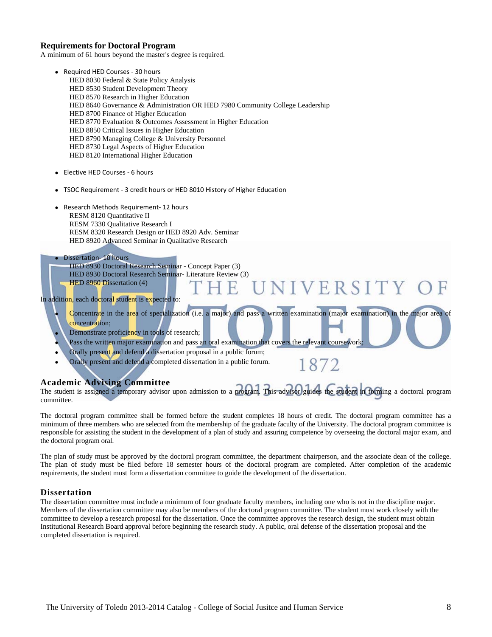### **Requirements for Doctoral Program**

A minimum of 61 hours beyond the master's degree is required.

- Required HED Courses 30 hours HED 8030 Federal & State Policy Analysis HED 8530 Student Development Theory HED 8570 Research in Higher Education HED 8640 Governance & Administration OR HED 7980 Community College Leadership HED 8700 Finance of Higher Education HED 8770 Evaluation & Outcomes Assessment in Higher Education HED 8850 Critical Issues in Higher Education HED 8790 Managing College & University Personnel HED 8730 Legal Aspects of Higher Education HED 8120 International Higher Education
- Elective HED Courses 6 hours
- TSOC Requirement 3 credit hours or HED 8010 History of Higher Education
- Research Methods Requirement‐ 12 hours RESM 8120 Quantitative II RESM 7330 Qualitative Research I RESM 8320 Research Design or HED 8920 Adv. Seminar HED 8920 Advanced Seminar in Qualitative Research

#### • Dissertation-10 hours

HED 8930 Doctoral Research Seminar - Concept Paper (3) HED 8930 Doctoral Research Seminar- Literature Review (3) HED 8960 Dissertation (4)

#### In addition, each doctoral student is expected to:

 Concentrate in the area of specialization (i.e. a major) and pass a written examination (major examination) in the major area of concentration;

NIVERSITY

1872

- Demonstrate proficiency in tools of research;
- Pass the written major examination and pass an oral examination that covers the relevant coursework
- Orally present and defend a dissertation proposal in a public forum;
- Orally present and defend a completed dissertation in a public forum.

### **Academic Advising Committee**

The student is assigned a temporary advisor upon admission to a program. This advisor guides the student in forming a doctoral program committee.

The doctoral program committee shall be formed before the student completes 18 hours of credit. The doctoral program committee has a minimum of three members who are selected from the membership of the graduate faculty of the University. The doctoral program committee is responsible for assisting the student in the development of a plan of study and assuring competence by overseeing the doctoral major exam, and the doctoral program oral.

The plan of study must be approved by the doctoral program committee, the department chairperson, and the associate dean of the college. The plan of study must be filed before 18 semester hours of the doctoral program are completed. After completion of the academic requirements, the student must form a dissertation committee to guide the development of the dissertation.

#### **Dissertation**

The dissertation committee must include a minimum of four graduate faculty members, including one who is not in the discipline major. Members of the dissertation committee may also be members of the doctoral program committee. The student must work closely with the committee to develop a research proposal for the dissertation. Once the committee approves the research design, the student must obtain Institutional Research Board approval before beginning the research study. A public, oral defense of the dissertation proposal and the completed dissertation is required.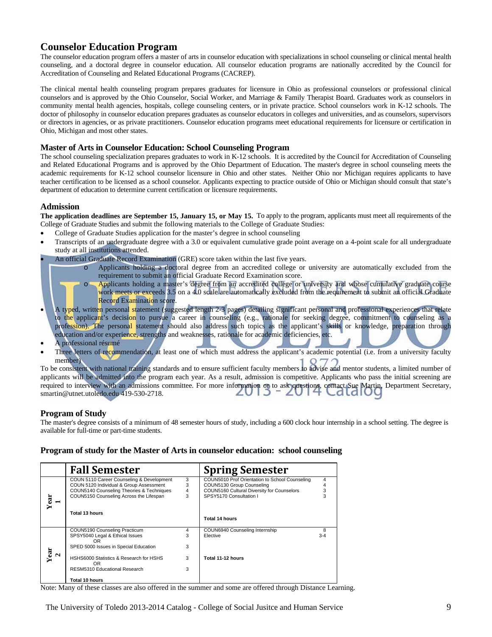## **Counselor Education Program**

The counselor education program offers a master of arts in counselor education with specializations in school counseling or clinical mental health counseling, and a doctoral degree in counselor education. All counselor education programs are nationally accredited by the Council for Accreditation of Counseling and Related Educational Programs (CACREP).

The clinical mental health counseling program prepares graduates for licensure in Ohio as professional counselors or professional clinical counselors and is approved by the Ohio Counselor, Social Worker, and Marriage & Family Therapist Board. Graduates work as counselors in community mental health agencies, hospitals, college counseling centers, or in private practice. School counselors work in K-12 schools. The doctor of philosophy in counselor education prepares graduates as counselor educators in colleges and universities, and as counselors, supervisors or directors in agencies, or as private practitioners. Counselor education programs meet educational requirements for licensure or certification in Ohio, Michigan and most other states.

### **Master of Arts in Counselor Education: School Counseling Program**

The school counseling specialization prepares graduates to work in K-12 schools. It is accredited by the Council for Accreditation of Counseling and Related Educational Programs and is approved by the Ohio Department of Education. The master's degree in school counseling meets the academic requirements for K-12 school counselor licensure in Ohio and other states. Neither Ohio nor Michigan requires applicants to have teacher certification to be licensed as a school counselor. Applicants expecting to practice outside of Ohio or Michigan should consult that state's department of education to determine current certification or licensure requirements.

### **Admission**

**The application deadlines are September 15, January 15, or May 15.** To apply to the program, applicants must meet all requirements of the College of Graduate Studies and submit the following materials to the College of Graduate Studies:

- College of Graduate Studies application for the master's degree in school counseling
- Transcripts of an undergraduate degree with a 3.0 or equivalent cumulative grade point average on a 4-point scale for all undergraduate study at all institutions attended.
- An official Graduate Record Examination (GRE) score taken within the last five years.
	- o Applicants holding a doctoral degree from an accredited college or university are automatically excluded from the requirement to submit an official Graduate Record Examination score.
	- o Applicants holding a master's degree from an accredited college or university and whose cumulative graduate course work meets or exceeds 3.5 on a 4.0 scale are automatically excluded from the requirement to submit an official Graduate Record Examination score.
- A ty<mark>pe</mark>d, writte<mark>n</mark> personal statement (suggested length 2-3 pages) detailing significant personal and professional experiences that relate to the applicant's decision to pursue a career in counseling (e.g., rationale for seeking degree, commitment to counseling as a profession). The personal statement should also address such topics as the applicant's skills or knowledge, preparation through education and/or experience, strengths and weaknesses, rationale for academic deficiencies, etc.
- A professional résumé
- Three letters of recommendation, at least one of which must address the applicant's academic potential (i.e. from a university faculty member)

To be consistent with national training standards and to ensure sufficient faculty members to advise and mentor students, a limited number of applicants will be admitted into the program each year. As a result, admission is competitive. Applicants who pass the initial screening are required to interview with an admissions committee. For more information or to ask questions, contact Sue Martin, Department Secretary, smartin@utnet.utoledo.edu 419-530-2718. smartin@utnet.utoledo.edu 419-530-2718.

### **Program of Study**

The master's degree consists of a minimum of 48 semester hours of study, including a 600 clock hour internship in a school setting. The degree is available for full-time or part-time students.

### **Program of study for the Master of Arts in counselor education: school counseling**

|      | <b>Fall Semester</b>                           |   | <b>Spring Semester</b>                         |         |
|------|------------------------------------------------|---|------------------------------------------------|---------|
|      | COUN 5110 Career Counseling & Development      | 3 | COUN5010 Prof Orientation to School Counseling | 4       |
|      | COUN 5120 Individual & Group Assessment        | 3 | COUN5130 Group Counseling                      | 4       |
|      | COUN5140 Counseling Theories & Techniques      | 4 | COUN5160 Cultural Diversity for Counselors     | 3       |
|      | COUN5150 Counseling Across the Lifespan        | 3 | SPSY5170 Consultation I                        | 3       |
| Year | Total 13 hours                                 |   | Total 14 hours                                 |         |
|      | COUN5190 Counseling Practicum                  | 4 | COUN6940 Counseling Internship                 | 8       |
|      | SPSY5040 Legal & Ethical Issues                | 3 | Elective                                       | $3 - 4$ |
|      | OR.                                            |   |                                                |         |
|      | SPED 5000 Issues in Special Education          | 3 |                                                |         |
| N    |                                                |   |                                                |         |
| Year | HSHS6000 Statistics & Research for HSHS<br>OR. | 3 | Total 11-12 hours                              |         |
|      | RESM5310 Educational Research                  | 3 |                                                |         |
|      | Total 10 hours                                 |   |                                                |         |

Note: Many of these classes are also offered in the summer and some are offered through Distance Learning.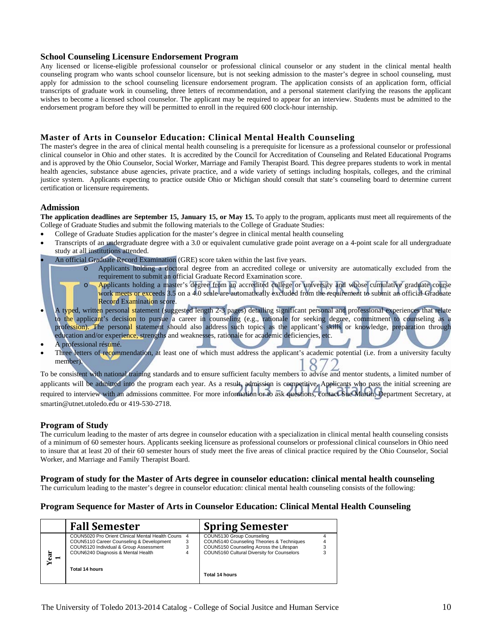### **School Counseling Licensure Endorsement Program**

Any licensed or license-eligible professional counselor or professional clinical counselor or any student in the clinical mental health counseling program who wants school counselor licensure, but is not seeking admission to the master's degree in school counseling, must apply for admission to the school counseling licensure endorsement program. The application consists of an application form, official transcripts of graduate work in counseling, three letters of recommendation, and a personal statement clarifying the reasons the applicant wishes to become a licensed school counselor. The applicant may be required to appear for an interview. Students must be admitted to the endorsement program before they will be permitted to enroll in the required 600 clock-hour internship.

### **Master of Arts in Counselor Education: Clinical Mental Health Counseling**

The master's degree in the area of clinical mental health counseling is a prerequisite for licensure as a professional counselor or professional clinical counselor in Ohio and other states. It is accredited by the Council for Accreditation of Counseling and Related Educational Programs and is approved by the Ohio Counselor, Social Worker, Marriage and Family Therapist Board. This degree prepares students to work in mental health agencies, substance abuse agencies, private practice, and a wide variety of settings including hospitals, colleges, and the criminal justice system. Applicants expecting to practice outside Ohio or Michigan should consult that state's counseling board to determine current certification or licensure requirements.

### **Admission**

**The application deadlines are September 15, January 15, or May 15.** To apply to the program, applicants must meet all requirements of the College of Graduate Studies and submit the following materials to the College of Graduate Studies:

- College of Graduate Studies application for the master's degree in clinical mental health counseling
- Transcripts of an undergraduate degree with a 3.0 or equivalent cumulative grade point average on a 4-point scale for all undergraduate study at all institutions attended.
- An official Graduate Record Examination (GRE) score taken within the last five years.
	- o Applicants holding a doctoral degree from an accredited college or university are automatically excluded from the requirement to submit an official Graduate Record Examination score.
	- o Applicants holding a master's degree from an accredited college or university and whose cumulative graduate course work meets or exceeds 3.5 on a 4.0 scale are automatically excluded from the requirement to submit an official Graduate Record Examination score.
- A typed, written personal statement (suggested length 2-3 pages) detailing significant personal and professional experiences that relate to the applicant's decision to pursue a career in counseling (e.g., rationale for seeking degree, commitment to counseling as a profession). The personal statement should also address such topics as the applicant's skills or knowledge, preparation through education and/or experience, strengths and weaknesses, rationale for academic deficiencies, etc.
- A professional résumé.
- Three letters of recommendation, at least one of which must address the applicant's academic potential (i.e. from a university faculty member).

To be consistent with national training standards and to ensure sufficient faculty members to advise and mentor students, a limited number of applicants will be admitted into the program each year. As a result, admission is competitive. Applicants who pass the initial screening are required to interview with an admissions committee. For more information or to ask questions, contact Sue Martin, Department Secretary, at smartin@utnet.utoledo.edu or 419-530-2718.

### **Program of Study**

The curriculum leading to the master of arts degree in counselor education with a specialization in clinical mental health counseling consists of a minimum of 60 semester hours. Applicants seeking licensure as professional counselors or professional clinical counselors in Ohio need to insure that at least 20 of their 60 semester hours of study meet the five areas of clinical practice required by the Ohio Counselor, Social Worker, and Marriage and Family Therapist Board.

### **Program of study for the Master of Arts degree in counselor education: clinical mental health counseling**

The curriculum leading to the master's degree in counselor education: clinical mental health counseling consists of the following:

### **Program Sequence for Master of Arts in Counselor Education: Clinical Mental Health Counseling**

|                        | <b>Fall Semester</b>                                                                         |   | <b>Spring Semester</b>                                                                |  |
|------------------------|----------------------------------------------------------------------------------------------|---|---------------------------------------------------------------------------------------|--|
|                        | COUN5020 Pro Orient Clinical Mental Health Couns<br>COUN5110 Career Counseling & Development | 4 | COUN5130 Group Counseling<br>COUN5140 Counseling Theories & Techniques                |  |
| Year<br>$\blacksquare$ | COUN5120 Individual & Group Assessment<br>COUN6240 Diagnosis & Mental Health                 |   | COUN5150 Counseling Across the Lifespan<br>COUN5160 Cultural Diversity for Counselors |  |
|                        | Total 14 hours                                                                               |   | Total 14 hours                                                                        |  |